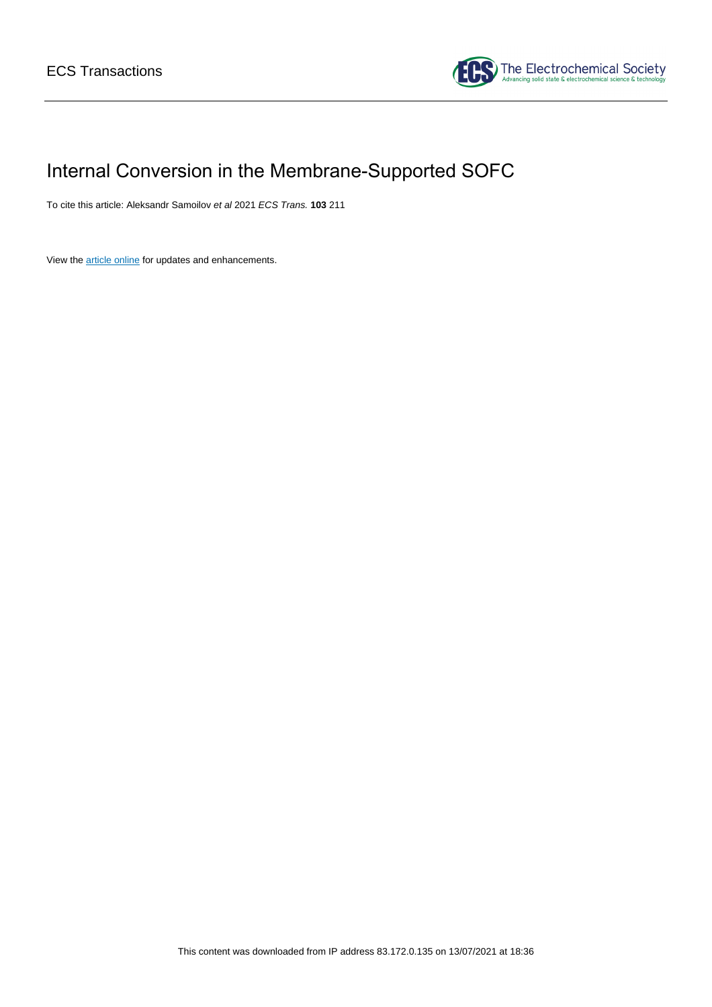

# Internal Conversion in the Membrane-Supported SOFC

To cite this article: Aleksandr Samoilov et al 2021 ECS Trans. **103** 211

View the [article online](https://doi.org/10.1149/10301.0211ecst) for updates and enhancements.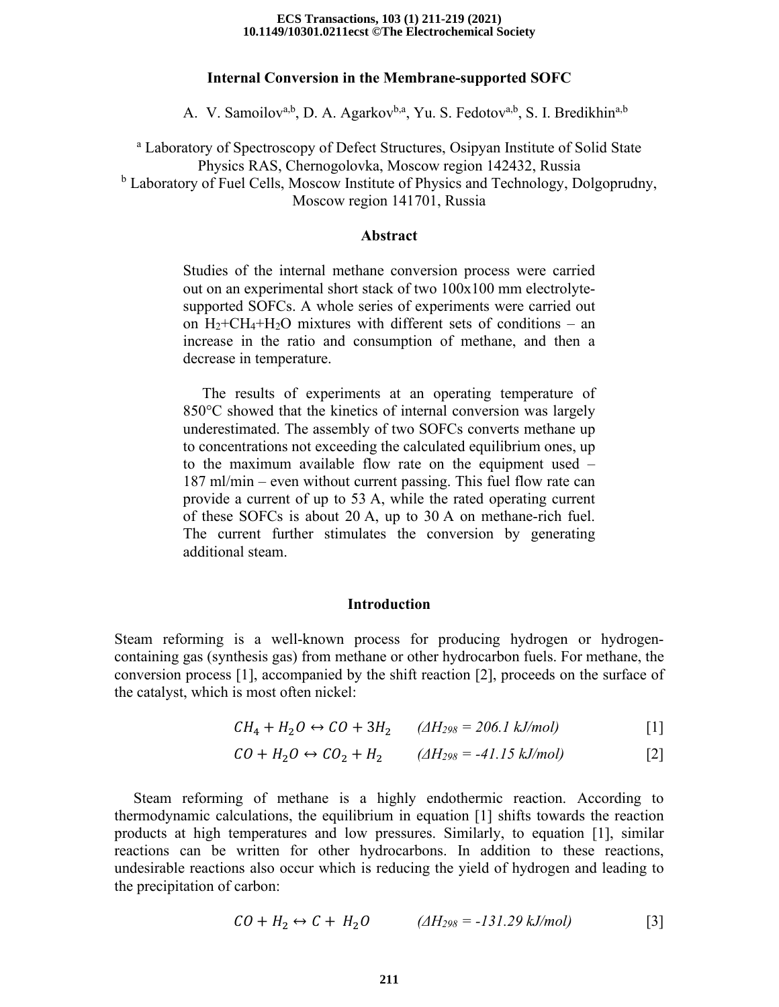#### **10.1149/10301.0211ecst ©The Electrochemical Society ECS Transactions, 103 (1) 211-219 (2021)**

# **Internal Conversion in the Membrane-supported SOFC**

A. V. Samoilov<sup>a,b</sup>, D. A. Agarkov<sup>b,a</sup>, Yu. S. Fedotov<sup>a,b</sup>, S. I. Bredikhin<sup>a,b</sup>

<sup>a</sup> Laboratory of Spectroscopy of Defect Structures, Osipyan Institute of Solid State Physics RAS, Chernogolovka, Moscow region 142432, Russia <sup>b</sup> Laboratory of Fuel Cells, Moscow Institute of Physics and Technology, Dolgoprudny, Moscow region 141701, Russia

# **Abstract**

Studies of the internal methane conversion process were carried out on an experimental short stack of two 100x100 mm electrolytesupported SOFCs. A whole series of experiments were carried out on  $H_2+CH_4+H_2O$  mixtures with different sets of conditions – an increase in the ratio and consumption of methane, and then a decrease in temperature.

 The results of experiments at an operating temperature of 850°C showed that the kinetics of internal conversion was largely underestimated. The assembly of two SOFCs converts methane up to concentrations not exceeding the calculated equilibrium ones, up to the maximum available flow rate on the equipment used – 187 ml/min – even without current passing. This fuel flow rate can provide a current of up to 53 A, while the rated operating current of these SOFCs is about 20 A, up to 30 A on methane-rich fuel. The current further stimulates the conversion by generating additional steam.

# **Introduction**

Steam reforming is a well-known process for producing hydrogen or hydrogencontaining gas (synthesis gas) from methane or other hydrocarbon fuels. For methane, the conversion process [1], accompanied by the shift reaction [2], proceeds on the surface of the catalyst, which is most often nickel:

$$
CH_4 + H_2O \leftrightarrow CO + 3H_2 \qquad ( \triangle H_{298} = 206.1 \text{ kJ/mol} )
$$
 [1]

$$
CO + H_2O \leftrightarrow CO_2 + H_2
$$
 ( $\triangle H_{298} = -41.15 \text{ kJ/mol}$ ) [2]

 Steam reforming of methane is a highly endothermic reaction. According to thermodynamic calculations, the equilibrium in equation [1] shifts towards the reaction products at high temperatures and low pressures. Similarly, to equation [1], similar reactions can be written for other hydrocarbons. In addition to these reactions, undesirable reactions also occur which is reducing the yield of hydrogen and leading to the precipitation of carbon:

$$
CO + H_2 \leftrightarrow C + H_2O \qquad ( \triangle H_{298} = -131.29 \text{ kJ/mol} )
$$
 [3]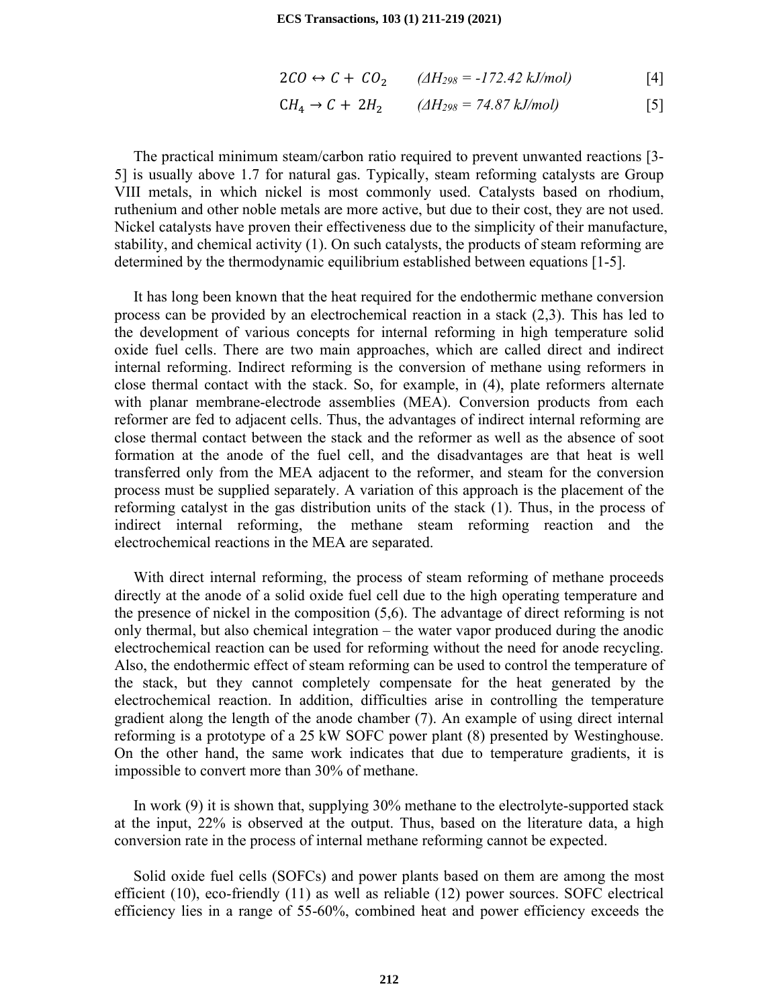$$
2CO \leftrightarrow C + CO_2 \qquad (A_{298} = -172.42 \text{ kJ/mol})
$$
 [4]

$$
CH_4 \rightarrow C + 2H_2
$$
 ( $\triangle H_{298} = 74.87 \text{ kJ/mol}$ ) [5]

 The practical minimum steam/carbon ratio required to prevent unwanted reactions [3- 5] is usually above 1.7 for natural gas. Typically, steam reforming catalysts are Group VIII metals, in which nickel is most commonly used. Catalysts based on rhodium, ruthenium and other noble metals are more active, but due to their cost, they are not used. Nickel catalysts have proven their effectiveness due to the simplicity of their manufacture, stability, and chemical activity (1). On such catalysts, the products of steam reforming are determined by the thermodynamic equilibrium established between equations [1-5].

 It has long been known that the heat required for the endothermic methane conversion process can be provided by an electrochemical reaction in a stack (2,3). This has led to the development of various concepts for internal reforming in high temperature solid oxide fuel cells. There are two main approaches, which are called direct and indirect internal reforming. Indirect reforming is the conversion of methane using reformers in close thermal contact with the stack. So, for example, in (4), plate reformers alternate with planar membrane-electrode assemblies (MEA). Conversion products from each reformer are fed to adjacent cells. Thus, the advantages of indirect internal reforming are close thermal contact between the stack and the reformer as well as the absence of soot formation at the anode of the fuel cell, and the disadvantages are that heat is well transferred only from the MEA adjacent to the reformer, and steam for the conversion process must be supplied separately. A variation of this approach is the placement of the reforming catalyst in the gas distribution units of the stack (1). Thus, in the process of indirect internal reforming, the methane steam reforming reaction and the electrochemical reactions in the MEA are separated.

 With direct internal reforming, the process of steam reforming of methane proceeds directly at the anode of a solid oxide fuel cell due to the high operating temperature and the presence of nickel in the composition (5,6). The advantage of direct reforming is not only thermal, but also chemical integration – the water vapor produced during the anodic electrochemical reaction can be used for reforming without the need for anode recycling. Also, the endothermic effect of steam reforming can be used to control the temperature of the stack, but they cannot completely compensate for the heat generated by the electrochemical reaction. In addition, difficulties arise in controlling the temperature gradient along the length of the anode chamber (7). An example of using direct internal reforming is a prototype of a 25 kW SOFC power plant (8) presented by Westinghouse. On the other hand, the same work indicates that due to temperature gradients, it is impossible to convert more than 30% of methane.

 In work (9) it is shown that, supplying 30% methane to the electrolyte-supported stack at the input, 22% is observed at the output. Thus, based on the literature data, a high conversion rate in the process of internal methane reforming cannot be expected.

 Solid oxide fuel cells (SOFCs) and power plants based on them are among the most efficient (10), eco-friendly (11) as well as reliable (12) power sources. SOFC electrical efficiency lies in a range of 55-60%, combined heat and power efficiency exceeds the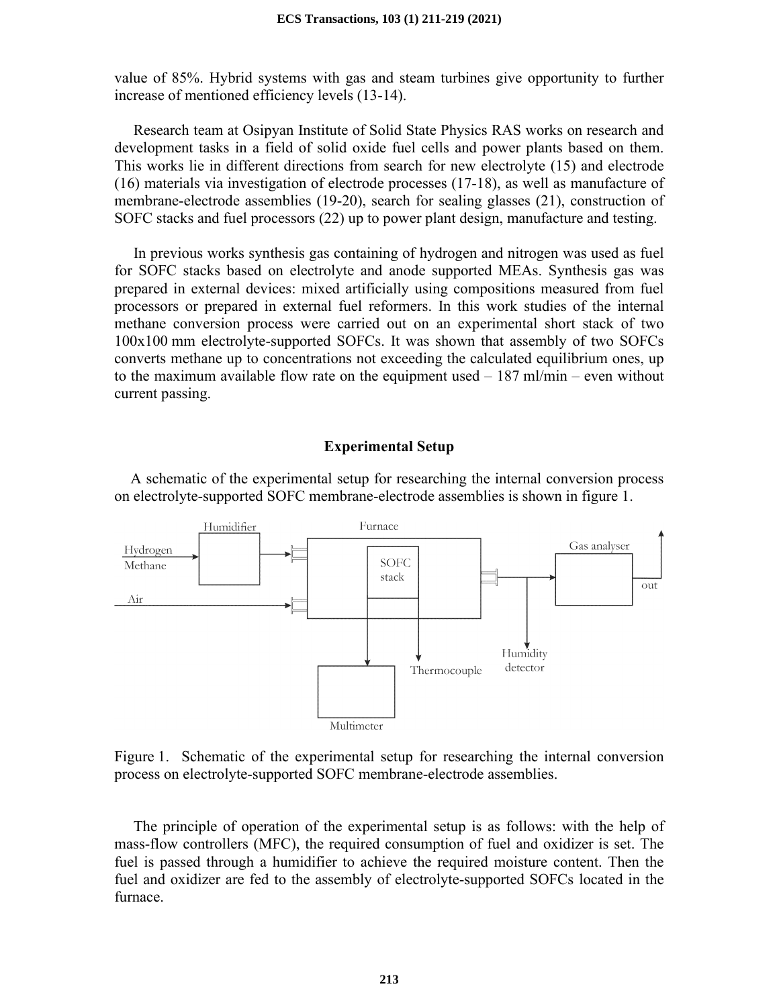value of 85%. Hybrid systems with gas and steam turbines give opportunity to further increase of mentioned efficiency levels (13-14).

 Research team at Osipyan Institute of Solid State Physics RAS works on research and development tasks in a field of solid oxide fuel cells and power plants based on them. This works lie in different directions from search for new electrolyte (15) and electrode (16) materials via investigation of electrode processes (17-18), as well as manufacture of membrane-electrode assemblies (19-20), search for sealing glasses (21), construction of SOFC stacks and fuel processors (22) up to power plant design, manufacture and testing.

 In previous works synthesis gas containing of hydrogen and nitrogen was used as fuel for SOFC stacks based on electrolyte and anode supported MEAs. Synthesis gas was prepared in external devices: mixed artificially using compositions measured from fuel processors or prepared in external fuel reformers. In this work studies of the internal methane conversion process were carried out on an experimental short stack of two 100x100 mm electrolyte-supported SOFCs. It was shown that assembly of two SOFCs converts methane up to concentrations not exceeding the calculated equilibrium ones, up to the maximum available flow rate on the equipment used  $-187$  ml/min – even without current passing.

### **Experimental Setup**

 A schematic of the experimental setup for researching the internal conversion process on electrolyte-supported SOFC membrane-electrode assemblies is shown in figure 1.



Figure 1. Schematic of the experimental setup for researching the internal conversion process on electrolyte-supported SOFC membrane-electrode assemblies.

 The principle of operation of the experimental setup is as follows: with the help of mass-flow controllers (MFC), the required consumption of fuel and oxidizer is set. The fuel is passed through a humidifier to achieve the required moisture content. Then the fuel and oxidizer are fed to the assembly of electrolyte-supported SOFCs located in the furnace.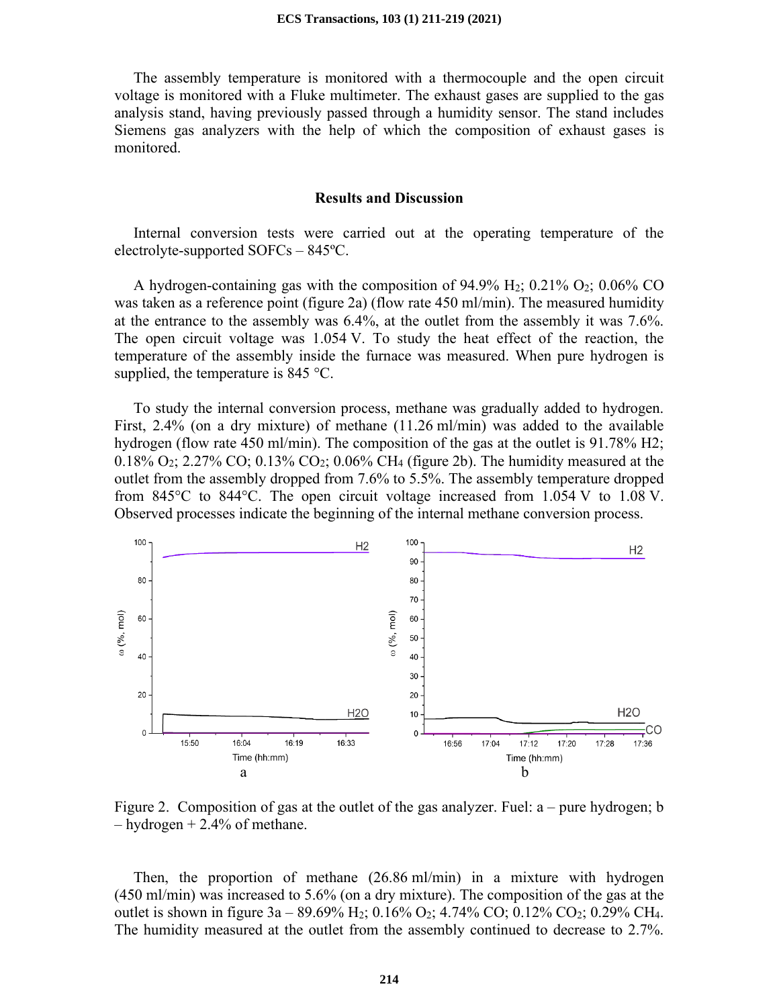The assembly temperature is monitored with a thermocouple and the open circuit voltage is monitored with a Fluke multimeter. The exhaust gases are supplied to the gas analysis stand, having previously passed through a humidity sensor. The stand includes Siemens gas analyzers with the help of which the composition of exhaust gases is monitored.

# **Results and Discussion**

 Internal conversion tests were carried out at the operating temperature of the electrolyte-supported SOFCs – 845ºС.

A hydrogen-containing gas with the composition of 94.9%  $H_2$ ; 0.21%  $O_2$ ; 0.06% CO was taken as a reference point (figure 2a) (flow rate 450 ml/min). The measured humidity at the entrance to the assembly was 6.4%, at the outlet from the assembly it was 7.6%. The open circuit voltage was 1.054 V. To study the heat effect of the reaction, the temperature of the assembly inside the furnace was measured. When pure hydrogen is supplied, the temperature is 845 °C.

 To study the internal conversion process, methane was gradually added to hydrogen. First, 2.4% (on a dry mixture) of methane (11.26 ml/min) was added to the available hydrogen (flow rate 450 ml/min). The composition of the gas at the outlet is 91.78% H2; 0.18% O<sub>2</sub>; 2.27% CO; 0.13% CO<sub>2</sub>; 0.06% CH<sub>4</sub> (figure 2b). The humidity measured at the outlet from the assembly dropped from 7.6% to 5.5%. The assembly temperature dropped from 845°C to 844°C. The open circuit voltage increased from 1.054 V to 1.08 V. Observed processes indicate the beginning of the internal methane conversion process.



Figure 2. Composition of gas at the outlet of the gas analyzer. Fuel: a – pure hydrogen; b  $-$  hydrogen  $+$  2.4% of methane.

 Then, the proportion of methane (26.86 ml/min) in a mixture with hydrogen (450 ml/min) was increased to 5.6% (on a dry mixture). The composition of the gas at the outlet is shown in figure  $3a - 89.69\%$  H<sub>2</sub>; 0.16% O<sub>2</sub>; 4.74% CO; 0.12% CO<sub>2</sub>; 0.29% CH<sub>4</sub>. The humidity measured at the outlet from the assembly continued to decrease to 2.7%.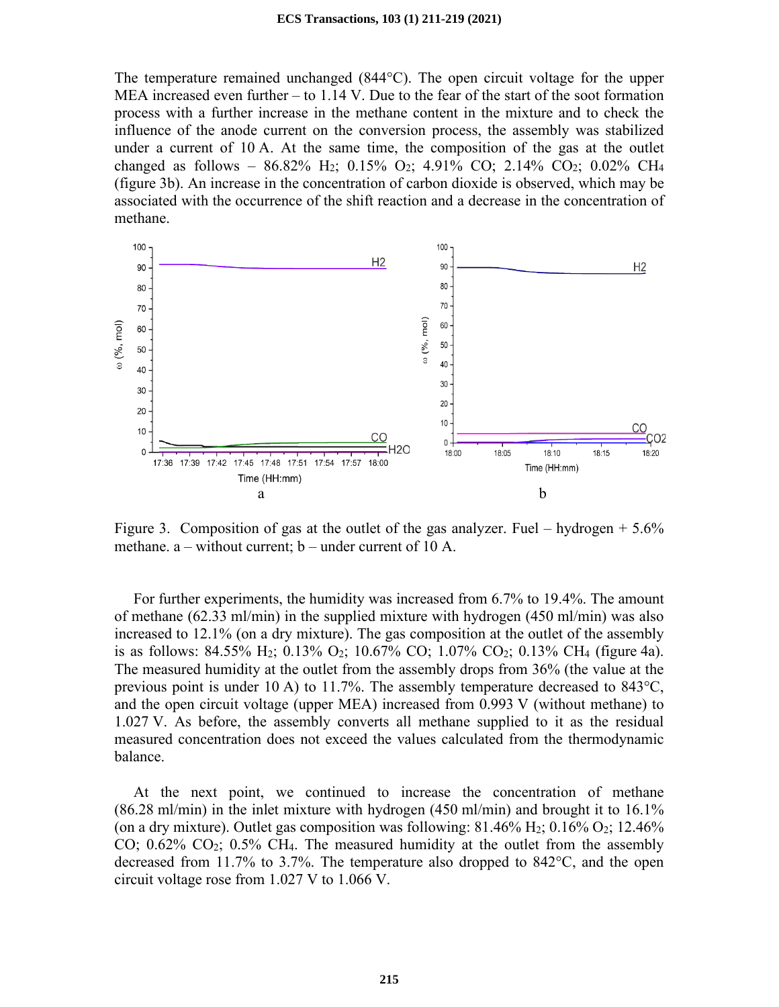The temperature remained unchanged  $(844^{\circ}$ C). The open circuit voltage for the upper MEA increased even further – to 1.14 V. Due to the fear of the start of the soot formation process with a further increase in the methane content in the mixture and to check the influence of the anode current on the conversion process, the assembly was stabilized under a current of 10 A. At the same time, the composition of the gas at the outlet changed as follows –  $86.82\%$  H<sub>2</sub>; 0.15% O<sub>2</sub>; 4.91% CO; 2.14% CO<sub>2</sub>; 0.02% CH<sub>4</sub> (figure 3b). An increase in the concentration of carbon dioxide is observed, which may be associated with the occurrence of the shift reaction and a decrease in the concentration of methane.



Figure 3. Composition of gas at the outlet of the gas analyzer. Fuel – hydrogen  $+ 5.6\%$ methane.  $a$  – without current;  $b$  – under current of 10 A.

 For further experiments, the humidity was increased from 6.7% to 19.4%. The amount of methane (62.33 ml/min) in the supplied mixture with hydrogen (450 ml/min) was also increased to 12.1% (on a dry mixture). The gas composition at the outlet of the assembly is as follows: 84.55% H<sub>2</sub>; 0.13% O<sub>2</sub>; 10.67% CO; 1.07% CO<sub>2</sub>; 0.13% CH<sub>4</sub> (figure 4a). The measured humidity at the outlet from the assembly drops from 36% (the value at the previous point is under 10 A) to 11.7%. The assembly temperature decreased to 843°С, and the open circuit voltage (upper MEA) increased from 0.993 V (without methane) to 1.027 V. As before, the assembly converts all methane supplied to it as the residual measured concentration does not exceed the values calculated from the thermodynamic balance.

 At the next point, we continued to increase the concentration of methane  $(86.28 \text{ ml/min})$  in the inlet mixture with hydrogen  $(450 \text{ ml/min})$  and brought it to  $16.1\%$ (on a dry mixture). Outlet gas composition was following:  $81.46\%$  H<sub>2</sub>;  $0.16\%$  O<sub>2</sub>;  $12.46\%$ CO;  $0.62\%$  CO<sub>2</sub>;  $0.5\%$  CH<sub>4</sub>. The measured humidity at the outlet from the assembly decreased from 11.7% to 3.7%. The temperature also dropped to 842°C, and the open circuit voltage rose from 1.027 V to 1.066 V.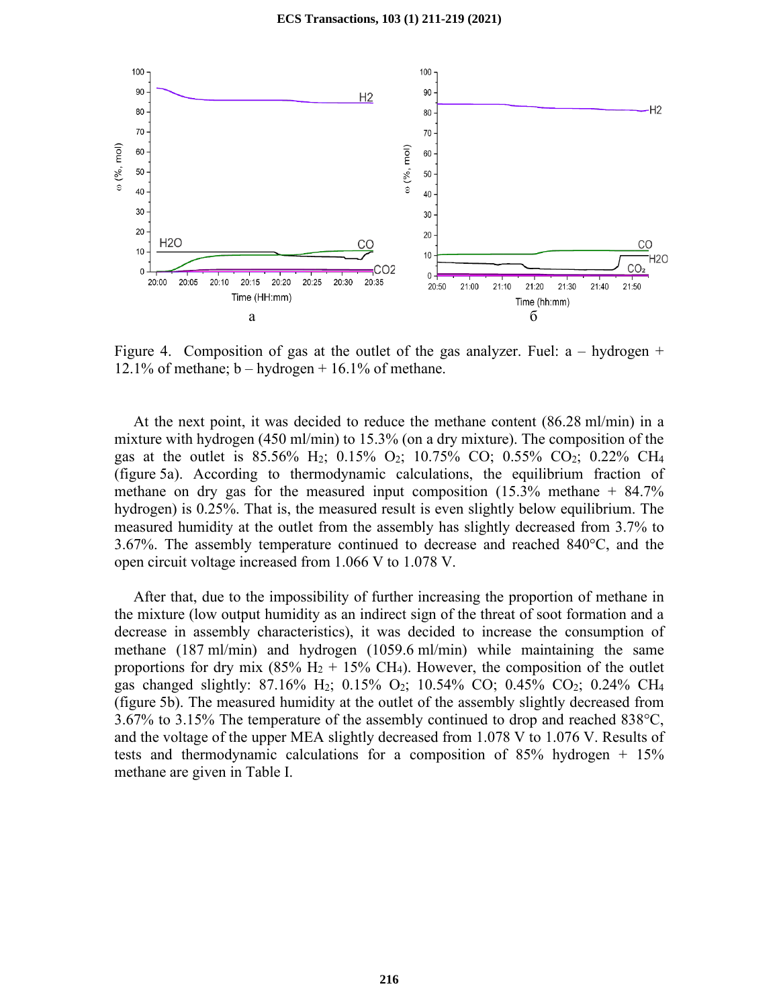

Figure 4. Composition of gas at the outlet of the gas analyzer. Fuel:  $a - hydrogen +$ 12.1% of methane;  $b - hydrogen + 16.1%$  of methane.

At the next point, it was decided to reduce the methane content  $(86.28 \text{ ml/min})$  in a mixture with hydrogen (450 ml/min) to 15.3% (on a dry mixture). The composition of the gas at the outlet is 85.56% H<sub>2</sub>; 0.15% O<sub>2</sub>; 10.75% CO; 0.55% CO<sub>2</sub>; 0.22% CH<sub>4</sub> (figure 5a). According to thermodynamic calculations, the equilibrium fraction of methane on dry gas for the measured input composition  $(15.3\%$  methane  $+84.7\%$ hydrogen) is 0.25%. That is, the measured result is even slightly below equilibrium. The measured humidity at the outlet from the assembly has slightly decreased from 3.7% to 3.67%. The assembly temperature continued to decrease and reached 840°C, and the open circuit voltage increased from 1.066 V to 1.078 V.

 After that, due to the impossibility of further increasing the proportion of methane in the mixture (low output humidity as an indirect sign of the threat of soot formation and a decrease in assembly characteristics), it was decided to increase the consumption of methane (187 ml/min) and hydrogen (1059.6 ml/min) while maintaining the same proportions for dry mix (85%  $H_2 + 15%$  CH<sub>4</sub>). However, the composition of the outlet gas changed slightly: 87.16% H<sub>2</sub>; 0.15% O<sub>2</sub>; 10.54% CO; 0.45% CO<sub>2</sub>; 0.24% CH<sub>4</sub> (figure 5b). The measured humidity at the outlet of the assembly slightly decreased from 3.67% to 3.15% The temperature of the assembly continued to drop and reached 838°С, and the voltage of the upper MEA slightly decreased from 1.078 V to 1.076 V. Results of tests and thermodynamic calculations for a composition of  $85\%$  hydrogen +  $15\%$ methane are given in Table I.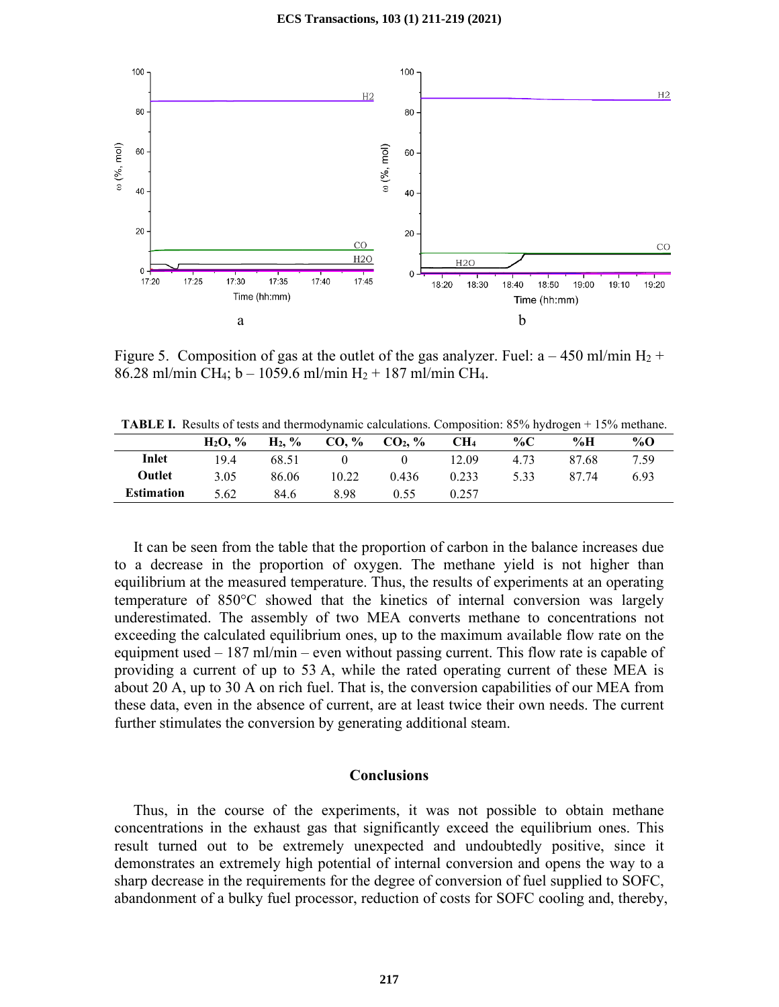

Figure 5. Composition of gas at the outlet of the gas analyzer. Fuel:  $a - 450$  ml/min H<sub>2</sub> + 86.28 ml/min CH<sub>4</sub>; b – 1059.6 ml/min H<sub>2</sub> + 187 ml/min CH<sub>4</sub>.

**TABLE I.** Results of tests and thermodynamic calculations. Composition: 85% hydrogen + 15% methane.

|                   | $H_2O. \%$ | $H_2, \%$ | $CO, \%$                          | CO <sub>2</sub> , % | CH <sub>4</sub> | % $\mathbf{C}$ | %Н    | $\%$ O |
|-------------------|------------|-----------|-----------------------------------|---------------------|-----------------|----------------|-------|--------|
| Inlet             | 19.4       | 68.51     | $\overline{0}$ and $\overline{0}$ | $\mathbf{0}$        | 12.09           | 4.73           | 87.68 | 7.59   |
| Outlet            | 3.05       | 86.06     | 10.22                             | 0.436               | 0.233           | 5.33           | 87.74 | 6.93   |
| <b>Estimation</b> | 5.62       | 84.6      | 8.98                              | 0.55                | 0.257           |                |       |        |

 It can be seen from the table that the proportion of carbon in the balance increases due to a decrease in the proportion of oxygen. The methane yield is not higher than equilibrium at the measured temperature. Thus, the results of experiments at an operating temperature of 850°C showed that the kinetics of internal conversion was largely underestimated. The assembly of two MEA converts methane to concentrations not exceeding the calculated equilibrium ones, up to the maximum available flow rate on the equipment used – 187 ml/min – even without passing current. This flow rate is capable of providing a current of up to 53 A, while the rated operating current of these MEA is about 20 A, up to 30 A on rich fuel. That is, the conversion capabilities of our MEA from these data, even in the absence of current, are at least twice their own needs. The current further stimulates the conversion by generating additional steam.

# **Conclusions**

 Thus, in the course of the experiments, it was not possible to obtain methane concentrations in the exhaust gas that significantly exceed the equilibrium ones. This result turned out to be extremely unexpected and undoubtedly positive, since it demonstrates an extremely high potential of internal conversion and opens the way to a sharp decrease in the requirements for the degree of conversion of fuel supplied to SOFC, abandonment of a bulky fuel processor, reduction of costs for SOFC cooling and, thereby,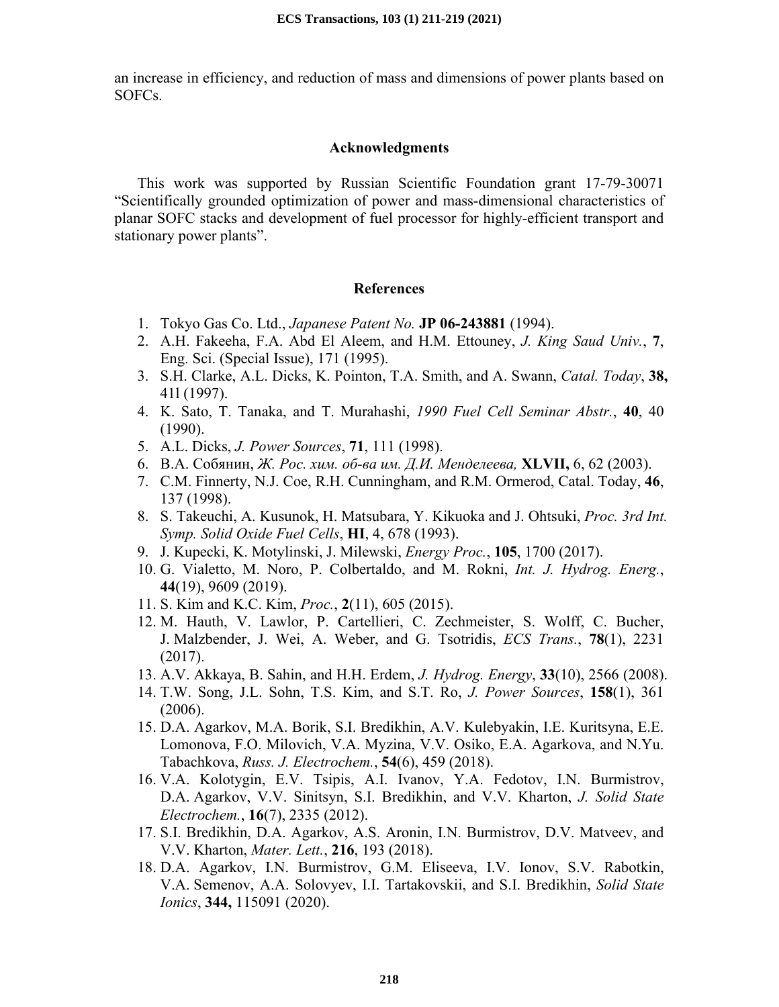an increase in efficiency, and reduction of mass and dimensions of power plants based on SOFCs.

# **Acknowledgments**

This work was supported by Russian Scientific Foundation grant 17-79-30071 "Scientifically grounded optimization of power and mass-dimensional characteristics of planar SOFC stacks and development of fuel processor for highly-efficient transport and stationary power plants".

# **References**

- 1. Tokyo Gas Co. Ltd., *Japanese Patent No.* **JP 06-243881** (1994).
- 2. A.H. Fakeeha, F.A. Abd El Aleem, and H.M. Ettouney, *J. King Saud Univ.*, **7**, Eng. Sci. (Special Issue), 171 (1995).
- 3. S.H. Clarke, A.L. Dicks, K. Pointon, T.A. Smith, and A. Swann, *Catal. Today*, **38,** 41l (1997).
- 4. K. Sato, T. Tanaka, and T. Murahashi, *1990 Fuel Cell Seminar Abstr.*, **40**, 40 (1990).
- 5. A.L. Dicks, *J. Power Sources*, **71**, 111 (1998).
- 6. В.А. Собянин, *Ж. Рос. хим. об-ва им. Д.И. Менделеева,* **XLVII,** 6, 62 (2003).
- 7. C.M. Finnerty, N.J. Coe, R.H. Cunningham, and R.M. Ormerod, Catal. Today, **46**, 137 (1998).
- 8. S. Takeuchi, A. Kusunok, H. Matsubara, Y. Kikuoka and J. Ohtsuki, *Proc. 3rd Int. Symp. Solid Oxide Fuel Cells*, **HI**, 4, 678 (1993).
- 9. J. Kupecki, K. Motylinski, J. Milewski, *Energy Proc.*, **105**, 1700 (2017).
- 10. G. Vialetto, M. Noro, P. Colbertaldo, and M. Rokni, *Int. J. Hydrog. Energ.*, **44**(19), 9609 (2019).
- 11. S. Kim and K.C. Kim, *Proc.*, **2**(11), 605 (2015).
- 12. M. Hauth, V. Lawlor, P. Cartellieri, C. Zechmeister, S. Wolff, C. Bucher, J. Malzbender, J. Wei, A. Weber, and G. Tsotridis, *ECS Trans.*, **78**(1), 2231 (2017).
- 13. A.V. Akkaya, B. Sahin, and H.H. Erdem, *J. Hydrog. Energy*, **33**(10), 2566 (2008).
- 14. T.W. Song, J.L. Sohn, T.S. Kim, and S.T. Ro, *J. Power Sources*, **158**(1), 361 (2006).
- 15. D.A. Agarkov, M.A. Borik, S.I. Bredikhin, A.V. Kulebyakin, I.E. Kuritsyna, E.E. Lomonova, F.O. Milovich, V.A. Myzina, V.V. Osiko, E.A. Agarkova, and N.Yu. Tabachkova, *Russ. J. Electrochem.*, **54**(6), 459 (2018).
- 16. V.A. Kolotygin, E.V. Tsipis, A.I. Ivanov, Y.A. Fedotov, I.N. Burmistrov, D.A. Agarkov, V.V. Sinitsyn, S.I. Bredikhin, and V.V. Kharton, *J. Solid State Electrochem.*, **16**(7), 2335 (2012).
- 17. S.I. Bredikhin, D.A. Agarkov, A.S. Aronin, I.N. Burmistrov, D.V. Matveev, and V.V. Kharton, *Mater. Lett.*, **216**, 193 (2018).
- 18. D.A. Agarkov, I.N. Burmistrov, G.M. Eliseeva, I.V. Ionov, S.V. Rabotkin, V.A. Semenov, A.A. Solovyev, I.I. Tartakovskii, and S.I. Bredikhin, *Solid State Ionics*, **344,** 115091 (2020).